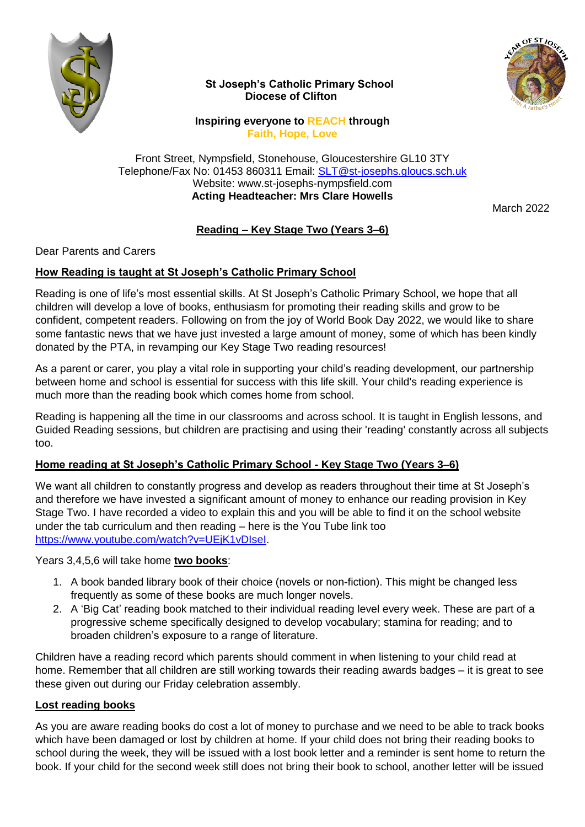

 **St Joseph's Catholic Primary School Diocese of Clifton**



**Inspiring everyone to REACH through Faith, Hope, Love**

Front Street, Nympsfield, Stonehouse, Gloucestershire GL10 3TY Telephone/Fax No: 01453 860311 Email: [SLT@st-josephs.gloucs.sch.uk](mailto:SLT@st-josephs.gloucs.sch.uk) Website: www.st-josephs-nympsfield.com **Acting Headteacher: Mrs Clare Howells**

March 2022

# **Reading – Key Stage Two (Years 3–6)**

### Dear Parents and Carers

## **How Reading is taught at St Joseph's Catholic Primary School**

Reading is one of life's most essential skills. At St Joseph's Catholic Primary School, we hope that all children will develop a love of books, enthusiasm for promoting their reading skills and grow to be confident, competent readers. Following on from the joy of World Book Day 2022, we would like to share some fantastic news that we have just invested a large amount of money, some of which has been kindly donated by the PTA, in revamping our Key Stage Two reading resources!

As a parent or carer, you play a vital role in supporting your child's reading development, our partnership between home and school is essential for success with this life skill. Your child's reading experience is much more than the reading book which comes home from school.

Reading is happening all the time in our classrooms and across school. It is taught in English lessons, and Guided Reading sessions, but children are practising and using their 'reading' constantly across all subjects too.

### **Home reading at St Joseph's Catholic Primary School - Key Stage Two (Years 3–6)**

We want all children to constantly progress and develop as readers throughout their time at St Joseph's and therefore we have invested a significant amount of money to enhance our reading provision in Key Stage Two. I have recorded a video to explain this and you will be able to find it on the school website under the tab curriculum and then reading – here is the You Tube link too [https://www.youtube.com/watch?v=UEjK1vDIseI.](https://www.youtube.com/watch?v=UEjK1vDIseI)

Years 3,4,5,6 will take home **two books**:

- 1. A book banded library book of their choice (novels or non-fiction). This might be changed less frequently as some of these books are much longer novels.
- 2. A 'Big Cat' reading book matched to their individual reading level every week. These are part of a progressive scheme specifically designed to develop vocabulary; stamina for reading; and to broaden children's exposure to a range of literature.

Children have a reading record which parents should comment in when listening to your child read at home. Remember that all children are still working towards their reading awards badges – it is great to see these given out during our Friday celebration assembly.

### **Lost reading books**

As you are aware reading books do cost a lot of money to purchase and we need to be able to track books which have been damaged or lost by children at home. If your child does not bring their reading books to school during the week, they will be issued with a lost book letter and a reminder is sent home to return the book. If your child for the second week still does not bring their book to school, another letter will be issued